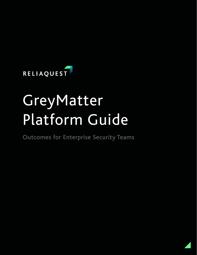

# GreyMatter Platform Guide

Outcomes for Enterprise Security Teams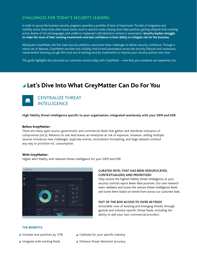### CHALLENGES FOR TODAY'S SECURITY LEADERS:

In order to secure the business, security programs assemble a portfolio of best-of-breed tools. The lack of integration and visibility across those tools often leaves teams stuck in reactive mode, chasing down false positives, getting whiplash from working across dozens of UIs and languages, and unable to implement solid detection content or automation. **Security leaders struggle to make the most of their existing investments and lack confidence in their ability to mitigate risk for the business.** 

ReliaQuest GreyMatter, the first SaaS security platform, overcomes these challenges to deliver security confidence. Through a robust set of features, GreyMatter provides true visibility, end-to-end automation across the security lifecycle and continuous measurement ensuring you get the most out of existing security investments to improve your security posture over time.

This guide highlights the outcomes our customers receive today with GreyMatter – ones that your enterprise can experience, too.

# **Let's Dive Into What GreyMatter Can Do For You**



**High fidelity threat intelligence specific to your organization, integrated seamlessly with your SIEM and EDR.**

#### Before GreyMatter:

There are many open source, government, and commercial feeds that gather and distribute indicators of compromise (IoCs). Reliance on one feed leaves an enterprise at risk of exposure. However, adding multiple sources introduces new challenges: duplicate entries, inconsistent formatting, and large datasets without any way to prioritize IoC consumption.

#### With GreyMatter:

Higher alert fidelity with relevant threat intelligence for your SIEM and EDR.



#### **CURATED INTEL THAT HAS BEEN DEDUPLICATED, CONTEXTUALIZED, AND PRIORITIZED**

Only receive the highest fidelity threat intelligence, so your security controls report fewer false positives. Our own research team validates and scores the various threat intelligence feeds and tunes them based on trends from across our customer base.

#### **OUT OF THE BOX ACCESS TO OVER 40 FEEDS**

Actionable view of existing and emerging threats through general and industry-specific threat feeds, including the ability to add your own commercial providers.

#### **THE BENEFITS:**

- $\blacktriangle$  Increase true positives by 15%
- $\blacktriangle$  Integrate with existing feeds
- ▲ Calibrate for your specific industry
- ▲ Enhance threat detection accuracy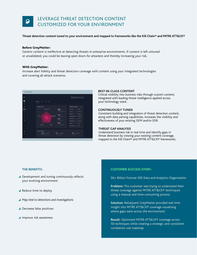## LEVERAGE THREAT DETECTION CONTENT CUSTOMIZED FOR YOUR ENVIRONMENT

**Threat detection content tuned to your environment and mapped to frameworks like the Kill Chain® and MITRE ATT&CK®** 

#### Before GreyMatter:

Generic content is ineffective at detecting threats in enterprise environments. If content is left untuned or unvalidated, you could be leaving open doors for attackers and thereby increasing your risk.

#### With GreyMatter:

Increase alert fidelity and threat detection coverage with content using your integrated technologies and covering all attack scenarios.



#### **BEST-IN-CLASS CONTENT**

Critical visibility into business risks through custom content, integrated with leading threat intelligence applied across your technology stack.

#### **CONTINUOUSLY TUNED**

Consistent building and integration of threat detection content, along with data parsing capabilities, increases the visibility and effectiveness of your existing SIEM and/or EDR.

#### **THREAT GAP ANALYSIS**

Understand business risk in real time and identify gaps in threat detection by viewing your existing content coverage, mapped to the Kill Chain® and MITRE ATT&CK® frameworks.

- ▲ Development and tuning continuously reflects your evolving environment
- ▲ Reduce time to deploy
- **A** Map intel to detections and investigations
- ▲ Decrease false positives
- ▲ Improve risk awareness

#### **THE BENEFITS: CUSTOMER SUCCESS STORY:**

\$6+ Billion Fortune 500 Data and Analytics Organization

**Problem:** This customer was trying to understand their threat coverage against MITRE ATT&CK® techniques using a manual and time-consuming process

**Solution:** ReliaQuest GreyMatter provided real time insight into MITRE ATT&CK® coverage visualizing where gaps were across the environment

**Result:** Optimized MITRE ATT&CK® coverage across 50 techniques while creating a strategic and consistent correlation rule roadmap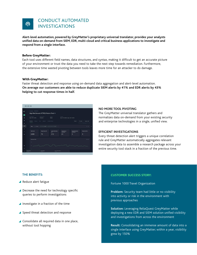

**Alert-level automation, powered by GreyMatter's proprietary universal translator, provides your analysts unified data on-demand from SIEM, EDR, multi-cloud and critical business applications to investigate and respond from a single interface.**

#### Before GreyMatter:

Each tool uses different field names, data structures, and syntax, making it difficult to get an accurate picture of your environment or trust the data you need to take the next step towards remediation. Furthermore, the extensive time wasted pivoting between tools leaves more time for an attacker to do damage.

#### With GreyMatter:

Faster threat detection and response using on-demand data aggregation and alert-level automation. **On average our customers are able to reduce duplicate SIEM alerts by 41% and EDR alerts by 43% helping to cut response times in half.**

| RQ.<br>$\boldsymbol{\mu}$ | Investigate / RO5234310 /<br>High Risk Domain HTTP(S) Pattern Fired ®                                                                                                                           |  |  |  |  |  |
|---------------------------|-------------------------------------------------------------------------------------------------------------------------------------------------------------------------------------------------|--|--|--|--|--|
| $\ddot{\phantom{a}}$      | Alert trippered<br>Severity<br>Timesono<br>Kill chain phase<br>May 1, 2019 11:28 PM<br>May 1, 2019 5:00 PM to May 1, 2019 11:00 PM<br>Persistence<br>Medium                                     |  |  |  |  |  |
| 参<br>$\circ$              | Included artifacts<br>Network<br>User<br>Endpoint<br>Overview<br>Search<br><b>View data</b><br>Inspect mode<br>Hold III to enable givet mode while clicking                                     |  |  |  |  |  |
| $\omega$                  | Filters (D type Seewall = ) (S technology splank = ) (S event, severity (bot) info =<br>٠<br>×                                                                                                  |  |  |  |  |  |
| $\ddot{\circ}$<br>۸       | <b>Total Events</b><br>Unique Source IPs<br><b>Unique Destination</b><br>Unique Source<br><b>Unique Destination</b><br><b>Unique Intel Hits</b><br>IPs.<br><b>Usernames</b><br><b>Usernames</b> |  |  |  |  |  |
| $\bullet$                 | 3,455<br>$\overline{\mathbf{3}}$<br>$\overline{3}$<br>75<br>212<br>61                                                                                                                           |  |  |  |  |  |
|                           | <b>Events over Time</b><br>View data<br><b>Since</b>                                                                                                                                            |  |  |  |  |  |
| ۰                         |                                                                                                                                                                                                 |  |  |  |  |  |
| ż<br>T+                   | ï<br>Initial search<br>user: Mondo<br>src lp: 10.12.128.13<br>÷<br>12k logs<br>24klogs<br>$24k$ logs                                                                                            |  |  |  |  |  |
|                           |                                                                                                                                                                                                 |  |  |  |  |  |

#### **NO MORE TOOL PIVOTING**

The GreyMatter universal translator gathers and normalizes data on-demand from your existing security and enterprise technologies in a single, unified view.

#### **EFFICIENT INVESTIGATIONS**

Every threat detection alert triggers a unique correlation rule and GreyMatter automatically aggregates relevant investigation data to assemble a research package across your entire security tool stack in a fraction of the previous time.

#### **THE BENEFITS:**

- ▲ Reduce alert fatigue
- ▲ Decrease the need for technology specific queries to perform investigations
- Investigate in a fraction of the time
- ▲ Speed threat detection and response
- ▲ Consolidate all required data in one place, without tool hopping

#### **CUSTOMER SUCCESS STORY:**

Fortune 1000 Travel Organization

**Problem:** Security team had little or no visibility into activity or risk in the environment with previous approaches

**Solution:** Leveraging ReliaQuest GreyMatter while deploying a new EDR and SIEM solution unified visibility and investigations from across the environment

**Result:** Consolidating an immense amount of data into a single interface using GreyMatter; within a year, visibility grew by 150%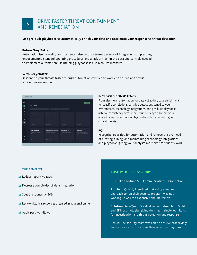

#### **Use pre-built playbooks to automatically enrich your data and accelerate your response to threat detection.**

#### Before GreyMatter:

Automation isn't a reality for most enterprise security teams because of integration complexities, undocumented standard operating procedures and a lack of trust in the data and controls needed to implement automation. Maintaining playbooks is also resource intensive.

#### With GreyMatter:

Respond to your threats faster through automation certified to work end-to-end and across your entire environment.

| ---            |                                                                                   |                                                              |                                           |                                                                                                 |  |  |
|----------------|-----------------------------------------------------------------------------------|--------------------------------------------------------------|-------------------------------------------|-------------------------------------------------------------------------------------------------|--|--|
| <b>RQ</b>      |                                                                                   |                                                              |                                           | <b>Ran Playbook</b>                                                                             |  |  |
| $\mathbf{M}$   | Activity<br>Playbooks                                                             |                                                              |                                           |                                                                                                 |  |  |
| ٠              | Q Search packages                                                                 | Type: Any<br>÷                                               | Tech: All                                 | $= 12$                                                                                          |  |  |
| $\bullet$      |                                                                                   |                                                              |                                           |                                                                                                 |  |  |
| ۵              | 4 PLAYBOOK<br><b>Ban Hash</b>                                                     | 4 PLAYBOOK<br><b>Isolate Host</b>                            | 4 PLAYBOOK<br><b>Block a Domain</b>       | 4. PLAYBOOK<br><b>Block an IP Address</b>                                                       |  |  |
| $\circledR$    | Through this play on MDS hash can be<br>added to a ban list to prevent execution. | This play is designed to inclute a heat from<br>the network? | This play allows the blocking of a domain | This play allows the blocking of an IP.<br>Address                                              |  |  |
| ۰              |                                                                                   |                                                              |                                           |                                                                                                 |  |  |
| ٨              |                                                                                   |                                                              |                                           |                                                                                                 |  |  |
| ÷              | <b>II</b> Containment                                                             | B Containment                                                | <b>B</b> Containment                      | <b>II</b> Containment                                                                           |  |  |
|                | 4 PLAYBOOK                                                                        | 4 PLAYBOOK                                                   | 4 PLAYBOOK                                | <b>4 FLATBOOK</b>                                                                               |  |  |
|                | <b>Submit File for Analysis</b>                                                   | <b>Retrieve File for Analysis Results</b>                    | <b>Delete Malicious File</b>              | Create a Policy                                                                                 |  |  |
|                | This play allows a file to be submited for<br>anahyla                             | Download a file for further analysis                         | This play will delete a malicious file    | Allows for detection and prevention of<br>threats or activity through a policy that is<br>saved |  |  |
| ۰              |                                                                                   |                                                              |                                           |                                                                                                 |  |  |
| A              | B facilitiest                                                                     | <b>Q</b> Containment                                         | O Ferreitaton                             | <b>Q</b> Containment                                                                            |  |  |
| $\mathbb{R}^+$ |                                                                                   |                                                              |                                           |                                                                                                 |  |  |

#### **INCREASED CONSISTENCY**

From alert-level automation for data collection, data enrichment for specific correlations, certified detections tuned to your environment, technology integrations, and pre-built playbooks achieve consistency across the security lifecycle so that your analysts can concentrate on higher-level decision making for critical threats.

#### **ROI**

Recognize areas ripe for automation and remove the overhead of creating, tuning, and maintaining technology integrations and playbooks, giving your analysts more time for priority work.

#### **THE BENEFITS:**

- ▲ Reduce repetitive tasks
- ▲ Decrease complexity of data integration
- Speed response by 50%
- Review historical responses triggered in your environment
- Audit past workflows

#### **CUSTOMER SUCCESS STORY:**

\$21 Billion Fortune 500 Communications Organization

**Problem:** Quickly identified that using a manual approach to run their security program was not working. It was too expensive and ineffective

**Solution:** ReliaQuest GreyMatter centralized both SIEM and EDR technologies giving their team single workflows for investigation and threat detection and response

**Result:** The security team was able to achieve cost savings and be more effective across their security ecosystem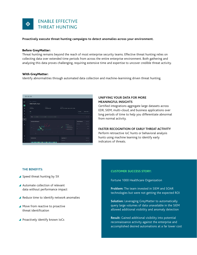

**Proactively execute threat hunting campaigns to detect anomalies across your environment.** 

#### Before GreyMatter:

Threat hunting remains beyond the reach of most enterprise security teams. Effective threat hunting relies on collecting data over extended time periods from across the entire enterprise environment. Both gathering and analyzing this data proves challenging, requiring extensive time and expertise to uncover credible threat activity.

#### With GreyMatter:

Identify abnormalities through automated data collection and machine-learnining driven threat hunting.



#### **UNIFYING YOUR DATA FOR MORE MEANINGFUL INSIGHTS**

Certified integrations aggregate large datasets across EDR, SIEM, multi-cloud, and business applications over long periods of time to help you differentiate abnormal from normal activity.

#### **FASTER RECOGNITION OF EARLY THREAT ACTIVITY**

Perform retroactive IoC hunts or behavioral analysis hunts using machine learning to identify early indicators of threats.

#### **THE BENEFITS:**

- ▲ Speed threat hunting by 5X
- Automate collection of relevant data without performance impact
- ▲ Reduce time to identify network anomalies
- ▲ Move from reactive to proactive threat identification
- **Proactively identify known IoCs**

#### **CUSTOMER SUCCESS STORY:**

Fortune 1000 Healthcare Organization

- **Problem:** The team invested in SIEM and SOAR technologies but were not getting the expected ROI
- **Solution:** Leveraging GreyMatter to automatically query large volumes of data unavailable in the SIEM allowed additional visibility and anomaly detection

**Result:** Gained additional visibility into potential reconnaissance activity against the enterprise and accomplished desired automations at a far lower cost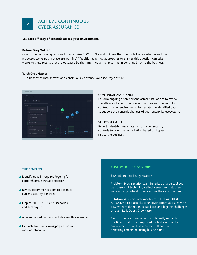

#### **Validate efficacy of controls across your environment.**

#### Before GreyMatter:

One of the common questions for enterprise CISOs is: "How do I know that the tools I've invested in and the processes we've put in place are working?" Traditional ad hoc approaches to answer this question can take weeks to yield results that are outdated by the time they arrive, resulting in continued risk to the business.

#### With GreyMatter:

Turn unknowns into knowns and continuously advance your security posture.



#### **CONTINUAL ASSURANCE**

Perform ongoing or on-demand attack simulations to review the efficacy of your threat detection rules and the security controls in your environment. Remediate the identified gaps to support the dynamic changes of your enterprise ecosystem.

#### **SEE ROOT CAUSES**

Reports identify missed alerts from your security controls to prioritize remediation based on highest risk to the business.

#### **THE BENEFITS:**

- ▲ Identify gaps in required logging for comprehensive threat detection
- **A** Review recommendations to optimize current security controls
- ▲ Map to MITRE ATT&CK<sup>®</sup> scenarios and techniques
- Alter and re-test controls until ideal results are reached
- ▲ Eliminate time-consuming preparation with certified integrations

#### **CUSTOMER SUCCESS STORY:**

\$3.4 Billion Retail Organization

**Problem:** New security team inherited a large tool set, was unsure of technology effectiveness and felt they were missing critical threats across their environment

**Solution:** Assisted customer team in testing MITRE ATT&CK® based attacks to uncover potential issues with downstream detection capabilities and logging challenges through ReliaQuest GreyMatter

**Result:** The team was able to confidently report to the Board that it had improved visibility across the environment as well as increased efficacy in detecting threats, reducing business risk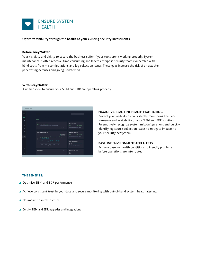

**Optimize visibility through the health of your existing security investments.**

#### Before GreyMatter:

Your visibility and ability to secure the business suffer if your tools aren't working properly. System maintenance is often reactive, time consuming and leaves enterprise security teams vulnerable with blind spots from misconfigurations and log collection issues. These gaps increase the risk of an attacker penetrating defenses and going undetected.

#### With GreyMatter:

A unified view to ensure your SIEM and EDR are operating properly.



#### **PROACTIVE, REAL-TIME HEALTH MONITORING**

Protect your visibility by consistently monitoring the performance and availability of your SIEM and EDR solutions. Preemptively recognize system misconfigurations and quickly identify log source collection issues to mitigate impacts to your security ecosystem.

#### **BASELINE ENVIRONMENT AND ALERTS**

Actively baseline health conditions to identify problems before operations are interrupted.

#### **THE BENEFITS:**

- ▲ Optimize SIEM and EDR performance
- Achieve consistent trust in your data and secure monitoring with out-of-band system health alerting
- ▲ No impact to infrastructure
- ▲ Certify SIEM and EDR upgrades and integrations